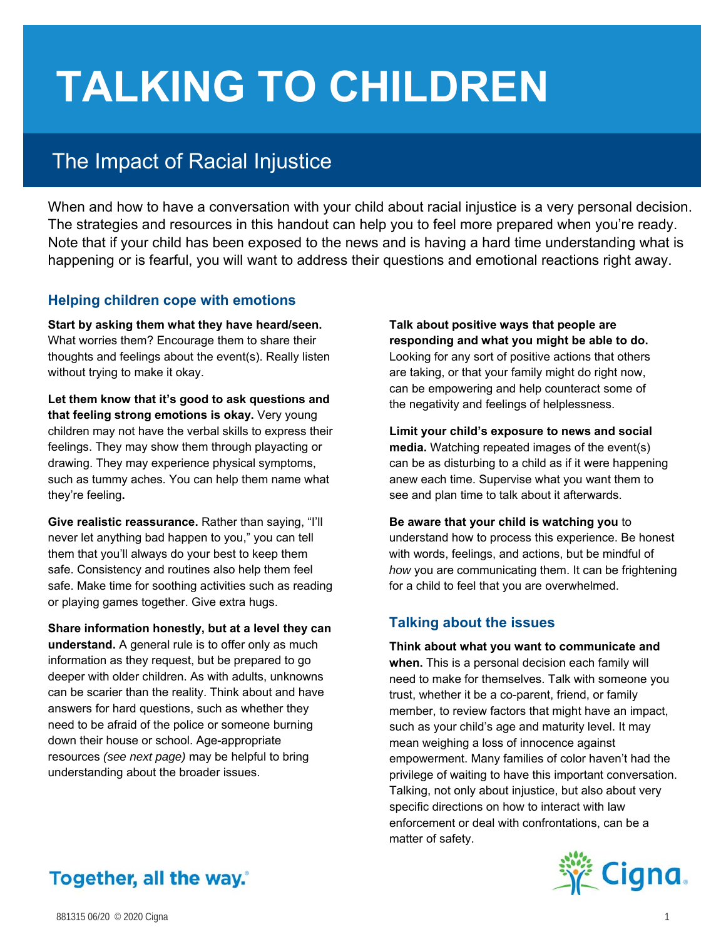# **TALKING TO CHILDREN**

## The Impact of Racial Injustice

When and how to have a conversation with your child about racial injustice is a very personal decision. The strategies and resources in this handout can help you to feel more prepared when you're ready. Note that if your child has been exposed to the news and is having a hard time understanding what is happening or is fearful, you will want to address their questions and emotional reactions right away.

#### **Helping children cope with emotions**

**Start by asking them what they have heard/seen.**  What worries them? Encourage them to share their thoughts and feelings about the event(s). Really listen without trying to make it okay.

**Let them know that it's good to ask questions and that feeling strong emotions is okay.** Very young children may not have the verbal skills to express their feelings. They may show them through playacting or drawing. They may experience physical symptoms, such as tummy aches. You can help them name what they're feeling**.** 

**Give realistic reassurance.** Rather than saying, "I'll never let anything bad happen to you," you can tell them that you'll always do your best to keep them safe. Consistency and routines also help them feel safe. Make time for soothing activities such as reading or playing games together. Give extra hugs.

**Share information honestly, but at a level they can understand.** A general rule is to offer only as much information as they request, but be prepared to go deeper with older children. As with adults, unknowns can be scarier than the reality. Think about and have answers for hard questions, such as whether they need to be afraid of the police or someone burning down their house or school. Age-appropriate resources *(see next page)* may be helpful to bring understanding about the broader issues.

**Talk about positive ways that people are responding and what you might be able to do.** Looking for any sort of positive actions that others are taking, or that your family might do right now, can be empowering and help counteract some of the negativity and feelings of helplessness.

**Limit your child's exposure to news and social media.** Watching repeated images of the event(s) can be as disturbing to a child as if it were happening anew each time. Supervise what you want them to see and plan time to talk about it afterwards.

**Be aware that your child is watching you** to understand how to process this experience. Be honest with words, feelings, and actions, but be mindful of *how* you are communicating them. It can be frightening for a child to feel that you are overwhelmed.

### **Talking about the issues**

**Think about what you want to communicate and when.** This is a personal decision each family will need to make for themselves. Talk with someone you trust, whether it be a co-parent, friend, or family member, to review factors that might have an impact, such as your child's age and maturity level. It may mean weighing a loss of innocence against empowerment. Many families of color haven't had the privilege of waiting to have this important conversation. Talking, not only about injustice, but also about very specific directions on how to interact with law enforcement or deal with confrontations, can be a matter of safety.



## Together, all the way.